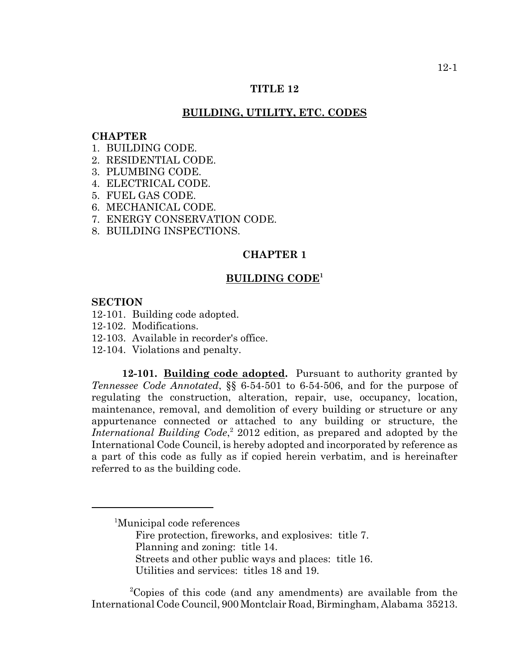## **TITLE 12**

# **BUILDING, UTILITY, ETC. CODES**

#### **CHAPTER**

- 1. BUILDING CODE.
- 2. RESIDENTIAL CODE.
- 3. PLUMBING CODE.
- 4. ELECTRICAL CODE.
- 5. FUEL GAS CODE.
- 6. MECHANICAL CODE.
- 7. ENERGY CONSERVATION CODE.
- 8. BUILDING INSPECTIONS.

# **CHAPTER 1**

# **BUILDING CODE1**

# **SECTION**

- 12-101. Building code adopted.
- 12-102. Modifications.
- 12-103. Available in recorder's office.
- 12-104. Violations and penalty.

**12-101. Building code adopted.** Pursuant to authority granted by *Tennessee Code Annotated*, §§ 6-54-501 to 6-54-506, and for the purpose of regulating the construction, alteration, repair, use, occupancy, location, maintenance, removal, and demolition of every building or structure or any appurtenance connected or attached to any building or structure, the International Building Code,<sup>2</sup> 2012 edition, as prepared and adopted by the International Code Council, is hereby adopted and incorporated by reference as a part of this code as fully as if copied herein verbatim, and is hereinafter referred to as the building code.

Fire protection, fireworks, and explosives: title 7. Planning and zoning: title 14. Streets and other public ways and places: title 16. Utilities and services: titles 18 and 19.

 <sup>2</sup> Copies of this code (and any amendments) are available from the International Code Council, 900 Montclair Road, Birmingham, Alabama 35213.

<sup>1</sup> Municipal code references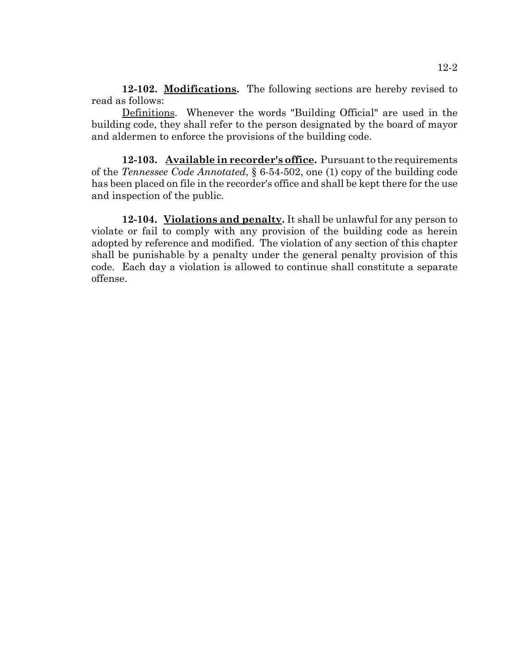**12-102. Modifications.** The following sections are hereby revised to read as follows:

Definitions. Whenever the words "Building Official" are used in the building code, they shall refer to the person designated by the board of mayor and aldermen to enforce the provisions of the building code.

**12-103. Available in recorder's office.** Pursuant to the requirements of the *Tennessee Code Annotated*, § 6-54-502, one (1) copy of the building code has been placed on file in the recorder's office and shall be kept there for the use and inspection of the public.

**12-104. Violations and penalty.** It shall be unlawful for any person to violate or fail to comply with any provision of the building code as herein adopted by reference and modified. The violation of any section of this chapter shall be punishable by a penalty under the general penalty provision of this code. Each day a violation is allowed to continue shall constitute a separate offense.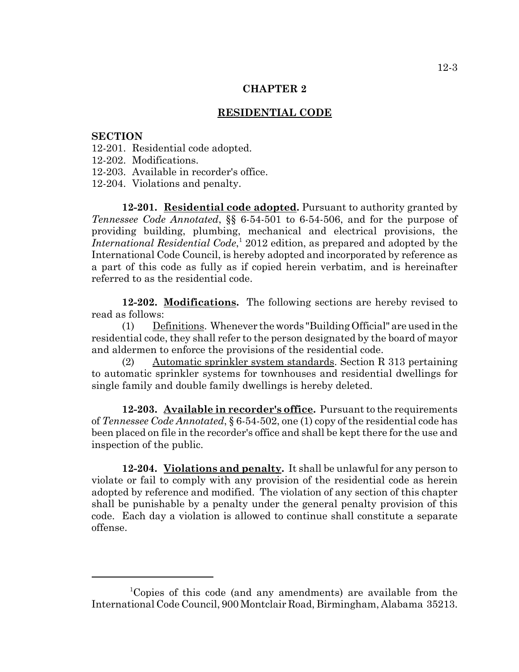#### **RESIDENTIAL CODE**

#### **SECTION**

- 12-201. Residential code adopted.
- 12-202. Modifications.
- 12-203. Available in recorder's office.
- 12-204. Violations and penalty.

**12-201. Residential code adopted.** Pursuant to authority granted by *Tennessee Code Annotated*, §§ 6-54-501 to 6-54-506, and for the purpose of providing building, plumbing, mechanical and electrical provisions, the International Residential Code,<sup>1</sup> 2012 edition, as prepared and adopted by the International Code Council, is hereby adopted and incorporated by reference as a part of this code as fully as if copied herein verbatim, and is hereinafter referred to as the residential code.

**12-202. Modifications.** The following sections are hereby revised to read as follows:

(1) Definitions. Whenever the words "Building Official" are used in the residential code, they shall refer to the person designated by the board of mayor and aldermen to enforce the provisions of the residential code.

(2) Automatic sprinkler system standards. Section R 313 pertaining to automatic sprinkler systems for townhouses and residential dwellings for single family and double family dwellings is hereby deleted.

**12-203. Available in recorder's office.** Pursuant to the requirements of *Tennessee Code Annotated*, § 6-54-502, one (1) copy of the residential code has been placed on file in the recorder's office and shall be kept there for the use and inspection of the public.

**12-204. Violations and penalty.** It shall be unlawful for any person to violate or fail to comply with any provision of the residential code as herein adopted by reference and modified. The violation of any section of this chapter shall be punishable by a penalty under the general penalty provision of this code. Each day a violation is allowed to continue shall constitute a separate offense.

<sup>1</sup> Copies of this code (and any amendments) are available from the International Code Council, 900 Montclair Road, Birmingham, Alabama 35213.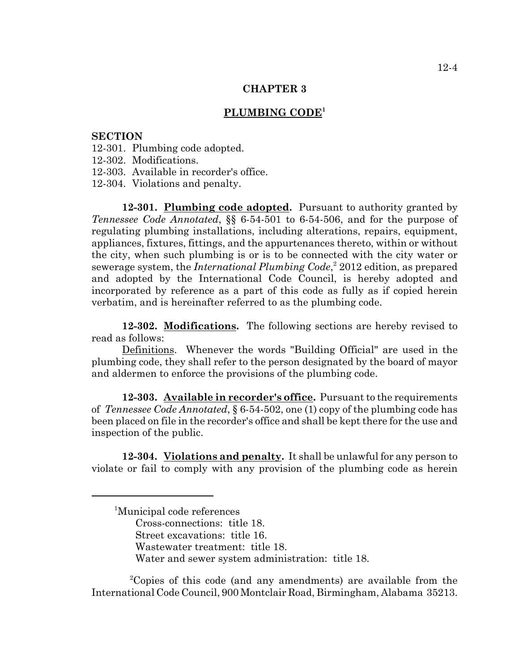## **PLUMBING CODE1**

#### **SECTION**

- 12-301. Plumbing code adopted.
- 12-302. Modifications.
- 12-303. Available in recorder's office.
- 12-304. Violations and penalty.

**12-301. Plumbing code adopted.** Pursuant to authority granted by *Tennessee Code Annotated*, §§ 6-54-501 to 6-54-506, and for the purpose of regulating plumbing installations, including alterations, repairs, equipment, appliances, fixtures, fittings, and the appurtenances thereto, within or without the city, when such plumbing is or is to be connected with the city water or sewerage system, the *International Plumbing Code*,<sup>2</sup> 2012 edition, as prepared and adopted by the International Code Council, is hereby adopted and incorporated by reference as a part of this code as fully as if copied herein verbatim, and is hereinafter referred to as the plumbing code.

**12-302. Modifications.** The following sections are hereby revised to read as follows:

Definitions. Whenever the words "Building Official" are used in the plumbing code, they shall refer to the person designated by the board of mayor and aldermen to enforce the provisions of the plumbing code.

**12-303. Available in recorder's office.** Pursuant to the requirements of *Tennessee Code Annotated*, § 6-54-502, one (1) copy of the plumbing code has been placed on file in the recorder's office and shall be kept there for the use and inspection of the public.

**12-304. Violations and penalty.** It shall be unlawful for any person to violate or fail to comply with any provision of the plumbing code as herein

 <sup>1</sup> Municipal code references Cross-connections: title 18. Street excavations: title 16. Wastewater treatment: title 18. Water and sewer system administration: title 18.

 <sup>2</sup> Copies of this code (and any amendments) are available from the International Code Council, 900 Montclair Road, Birmingham, Alabama 35213.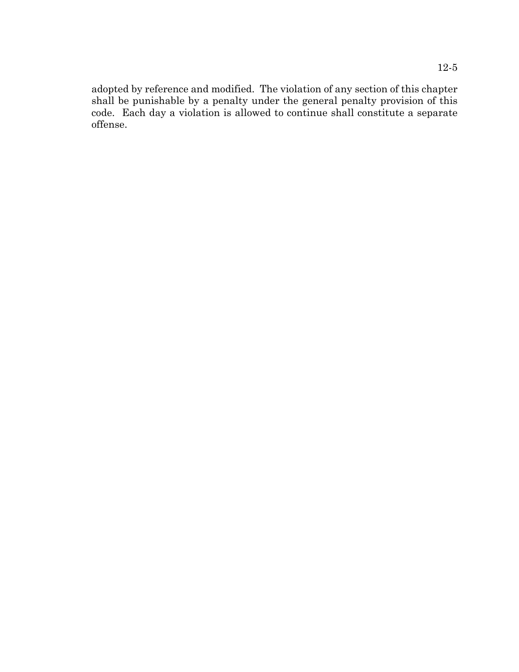adopted by reference and modified. The violation of any section of this chapter shall be punishable by a penalty under the general penalty provision of this code. Each day a violation is allowed to continue shall constitute a separate offense.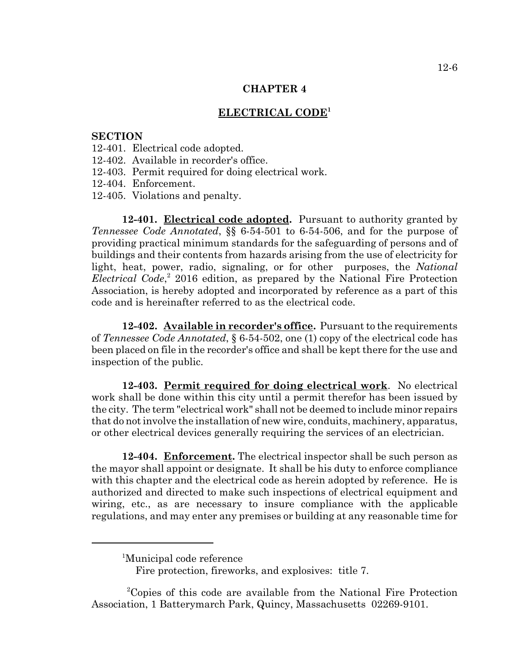## **ELECTRICAL CODE<sup>1</sup>**

#### **SECTION**

- 12-401. Electrical code adopted.
- 12-402. Available in recorder's office.
- 12-403. Permit required for doing electrical work.
- 12-404. Enforcement.
- 12-405. Violations and penalty.

**12-401. Electrical code adopted.** Pursuant to authority granted by *Tennessee Code Annotated*, §§ 6-54-501 to 6-54-506, and for the purpose of providing practical minimum standards for the safeguarding of persons and of buildings and their contents from hazards arising from the use of electricity for light, heat, power, radio, signaling, or for other purposes, the *National Electrical Code*, 2 2016 edition, as prepared by the National Fire Protection Association, is hereby adopted and incorporated by reference as a part of this code and is hereinafter referred to as the electrical code.

**12-402. Available in recorder's office.** Pursuant to the requirements of *Tennessee Code Annotated*, § 6-54-502, one (1) copy of the electrical code has been placed on file in the recorder's office and shall be kept there for the use and inspection of the public.

**12-403. Permit required for doing electrical work**. No electrical work shall be done within this city until a permit therefor has been issued by the city. The term "electrical work" shall not be deemed to include minor repairs that do not involve the installation of new wire, conduits, machinery, apparatus, or other electrical devices generally requiring the services of an electrician.

**12-404. Enforcement.** The electrical inspector shall be such person as the mayor shall appoint or designate. It shall be his duty to enforce compliance with this chapter and the electrical code as herein adopted by reference. He is authorized and directed to make such inspections of electrical equipment and wiring, etc., as are necessary to insure compliance with the applicable regulations, and may enter any premises or building at any reasonable time for

 <sup>2</sup> Copies of this code are available from the National Fire Protection Association, 1 Batterymarch Park, Quincy, Massachusetts 02269-9101.

<sup>&</sup>lt;sup>1</sup>Municipal code reference

Fire protection, fireworks, and explosives: title 7.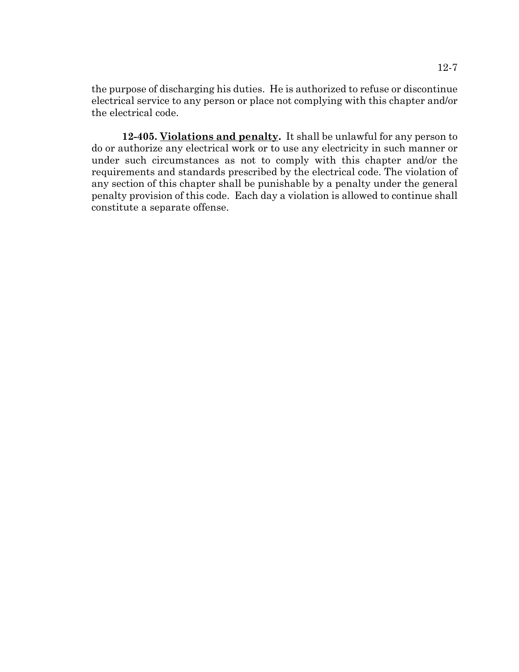the purpose of discharging his duties. He is authorized to refuse or discontinue electrical service to any person or place not complying with this chapter and/or the electrical code.

**12-405. Violations and penalty.** It shall be unlawful for any person to do or authorize any electrical work or to use any electricity in such manner or under such circumstances as not to comply with this chapter and/or the requirements and standards prescribed by the electrical code. The violation of any section of this chapter shall be punishable by a penalty under the general penalty provision of this code. Each day a violation is allowed to continue shall constitute a separate offense.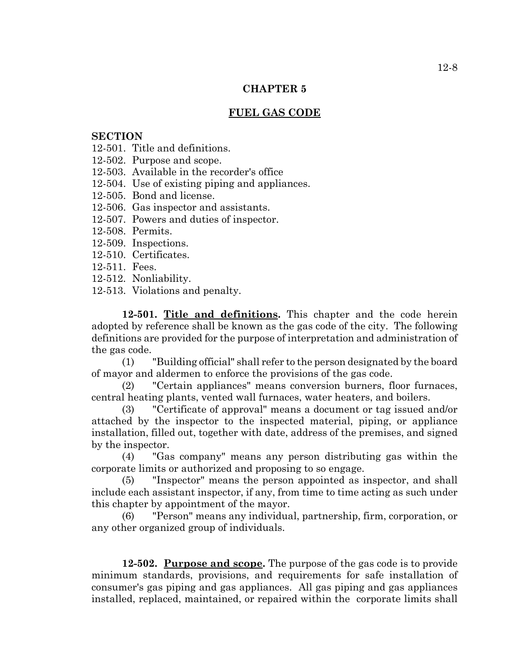# **FUEL GAS CODE**

# **SECTION**

- 12-501. Title and definitions.
- 12-502. Purpose and scope.
- 12-503. Available in the recorder's office
- 12-504. Use of existing piping and appliances.
- 12-505. Bond and license.
- 12-506. Gas inspector and assistants.
- 12-507. Powers and duties of inspector.
- 12-508. Permits.
- 12-509. Inspections.
- 12-510. Certificates.
- 12-511. Fees.
- 12-512. Nonliability.
- 12-513. Violations and penalty.

**12-501. Title and definitions.** This chapter and the code herein adopted by reference shall be known as the gas code of the city. The following definitions are provided for the purpose of interpretation and administration of the gas code.

(1) "Building official" shall refer to the person designated by the board of mayor and aldermen to enforce the provisions of the gas code.

(2) "Certain appliances" means conversion burners, floor furnaces, central heating plants, vented wall furnaces, water heaters, and boilers.

(3) "Certificate of approval" means a document or tag issued and/or attached by the inspector to the inspected material, piping, or appliance installation, filled out, together with date, address of the premises, and signed by the inspector.

(4) "Gas company" means any person distributing gas within the corporate limits or authorized and proposing to so engage.

(5) "Inspector" means the person appointed as inspector, and shall include each assistant inspector, if any, from time to time acting as such under this chapter by appointment of the mayor.

(6) "Person" means any individual, partnership, firm, corporation, or any other organized group of individuals.

**12-502. Purpose and scope.** The purpose of the gas code is to provide minimum standards, provisions, and requirements for safe installation of consumer's gas piping and gas appliances. All gas piping and gas appliances installed, replaced, maintained, or repaired within the corporate limits shall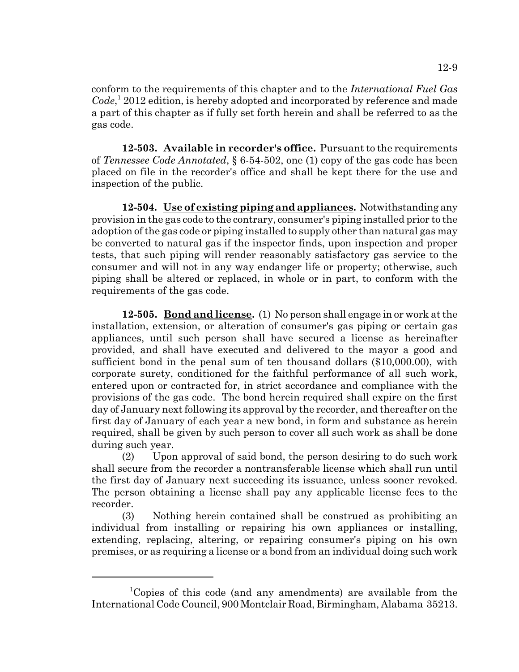conform to the requirements of this chapter and to the *International Fuel Gas* Code,<sup>1</sup> 2012 edition, is hereby adopted and incorporated by reference and made a part of this chapter as if fully set forth herein and shall be referred to as the gas code.

**12-503. Available in recorder's office.** Pursuant to the requirements of *Tennessee Code Annotated*, § 6-54-502, one (1) copy of the gas code has been placed on file in the recorder's office and shall be kept there for the use and inspection of the public.

**12-504. Use of existing piping and appliances.** Notwithstanding any provision in the gas code to the contrary, consumer's piping installed prior to the adoption of the gas code or piping installed to supply other than natural gas may be converted to natural gas if the inspector finds, upon inspection and proper tests, that such piping will render reasonably satisfactory gas service to the consumer and will not in any way endanger life or property; otherwise, such piping shall be altered or replaced, in whole or in part, to conform with the requirements of the gas code.

**12-505. Bond and license.** (1) No person shall engage in or work at the installation, extension, or alteration of consumer's gas piping or certain gas appliances, until such person shall have secured a license as hereinafter provided, and shall have executed and delivered to the mayor a good and sufficient bond in the penal sum of ten thousand dollars (\$10,000.00), with corporate surety, conditioned for the faithful performance of all such work, entered upon or contracted for, in strict accordance and compliance with the provisions of the gas code. The bond herein required shall expire on the first day of January next following its approval by the recorder, and thereafter on the first day of January of each year a new bond, in form and substance as herein required, shall be given by such person to cover all such work as shall be done during such year.

(2) Upon approval of said bond, the person desiring to do such work shall secure from the recorder a nontransferable license which shall run until the first day of January next succeeding its issuance, unless sooner revoked. The person obtaining a license shall pay any applicable license fees to the recorder.

(3) Nothing herein contained shall be construed as prohibiting an individual from installing or repairing his own appliances or installing, extending, replacing, altering, or repairing consumer's piping on his own premises, or as requiring a license or a bond from an individual doing such work

<sup>1</sup> Copies of this code (and any amendments) are available from the International Code Council, 900 Montclair Road, Birmingham, Alabama 35213.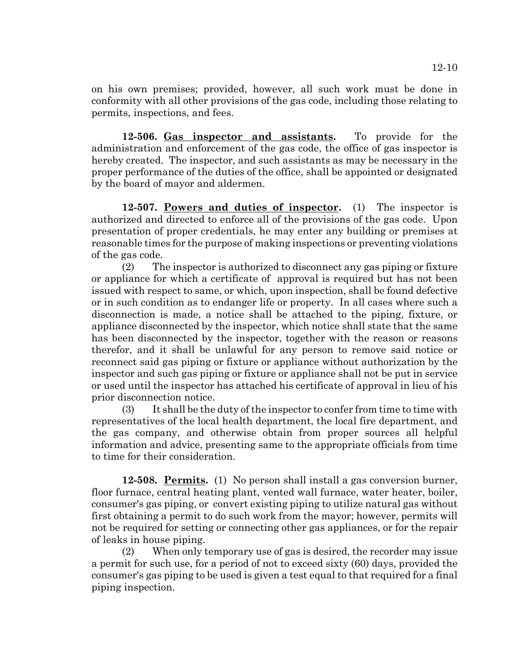on his own premises; provided, however, all such work must be done in conformity with all other provisions of the gas code, including those relating to permits, inspections, and fees.

**12-506. Gas inspector and assistants.** To provide for the administration and enforcement of the gas code, the office of gas inspector is hereby created. The inspector, and such assistants as may be necessary in the proper performance of the duties of the office, shall be appointed or designated by the board of mayor and aldermen.

**12-507. Powers and duties of inspector.** (1) The inspector is authorized and directed to enforce all of the provisions of the gas code. Upon presentation of proper credentials, he may enter any building or premises at reasonable times for the purpose of making inspections or preventing violations of the gas code.

(2) The inspector is authorized to disconnect any gas piping or fixture or appliance for which a certificate of approval is required but has not been issued with respect to same, or which, upon inspection, shall be found defective or in such condition as to endanger life or property. In all cases where such a disconnection is made, a notice shall be attached to the piping, fixture, or appliance disconnected by the inspector, which notice shall state that the same has been disconnected by the inspector, together with the reason or reasons therefor, and it shall be unlawful for any person to remove said notice or reconnect said gas piping or fixture or appliance without authorization by the inspector and such gas piping or fixture or appliance shall not be put in service or used until the inspector has attached his certificate of approval in lieu of his prior disconnection notice.

(3) It shall be the duty of the inspector to confer from time to time with representatives of the local health department, the local fire department, and the gas company, and otherwise obtain from proper sources all helpful information and advice, presenting same to the appropriate officials from time to time for their consideration.

**12-508. Permits.** (1) No person shall install a gas conversion burner, floor furnace, central heating plant, vented wall furnace, water heater, boiler, consumer's gas piping, or convert existing piping to utilize natural gas without first obtaining a permit to do such work from the mayor; however, permits will not be required for setting or connecting other gas appliances, or for the repair of leaks in house piping.

(2) When only temporary use of gas is desired, the recorder may issue a permit for such use, for a period of not to exceed sixty (60) days, provided the consumer's gas piping to be used is given a test equal to that required for a final piping inspection.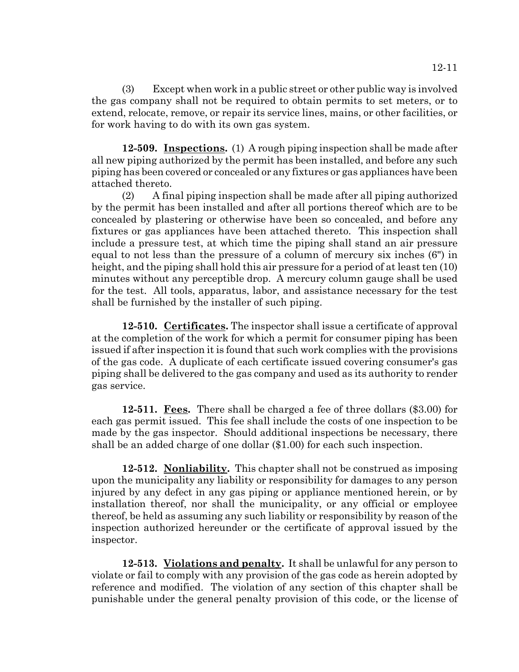(3) Except when work in a public street or other public way is involved the gas company shall not be required to obtain permits to set meters, or to extend, relocate, remove, or repair its service lines, mains, or other facilities, or for work having to do with its own gas system.

**12-509. Inspections.** (1) A rough piping inspection shall be made after all new piping authorized by the permit has been installed, and before any such piping has been covered or concealed or any fixtures or gas appliances have been attached thereto.

(2) A final piping inspection shall be made after all piping authorized by the permit has been installed and after all portions thereof which are to be concealed by plastering or otherwise have been so concealed, and before any fixtures or gas appliances have been attached thereto. This inspection shall include a pressure test, at which time the piping shall stand an air pressure equal to not less than the pressure of a column of mercury six inches (6") in height, and the piping shall hold this air pressure for a period of at least ten (10) minutes without any perceptible drop. A mercury column gauge shall be used for the test. All tools, apparatus, labor, and assistance necessary for the test shall be furnished by the installer of such piping.

**12-510. Certificates.** The inspector shall issue a certificate of approval at the completion of the work for which a permit for consumer piping has been issued if after inspection it is found that such work complies with the provisions of the gas code. A duplicate of each certificate issued covering consumer's gas piping shall be delivered to the gas company and used as its authority to render gas service.

**12-511. Fees.** There shall be charged a fee of three dollars (\$3.00) for each gas permit issued. This fee shall include the costs of one inspection to be made by the gas inspector. Should additional inspections be necessary, there shall be an added charge of one dollar (\$1.00) for each such inspection.

**12-512. Nonliability.** This chapter shall not be construed as imposing upon the municipality any liability or responsibility for damages to any person injured by any defect in any gas piping or appliance mentioned herein, or by installation thereof, nor shall the municipality, or any official or employee thereof, be held as assuming any such liability or responsibility by reason of the inspection authorized hereunder or the certificate of approval issued by the inspector.

**12-513. Violations and penalty.** It shall be unlawful for any person to violate or fail to comply with any provision of the gas code as herein adopted by reference and modified. The violation of any section of this chapter shall be punishable under the general penalty provision of this code, or the license of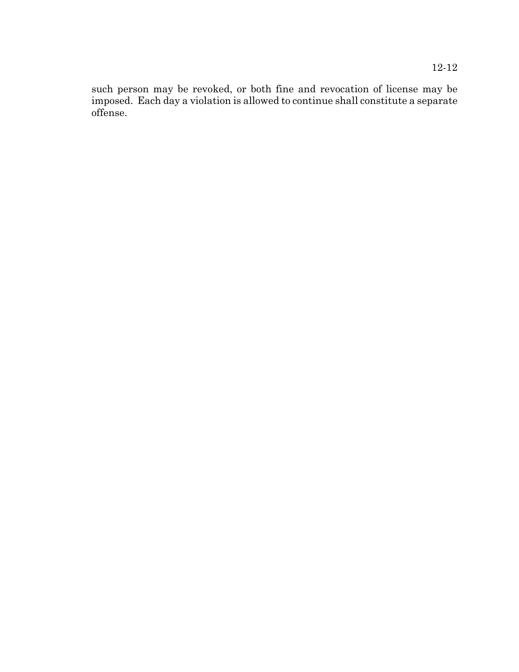such person may be revoked, or both fine and revocation of license may be imposed. Each day a violation is allowed to continue shall constitute a separate offense.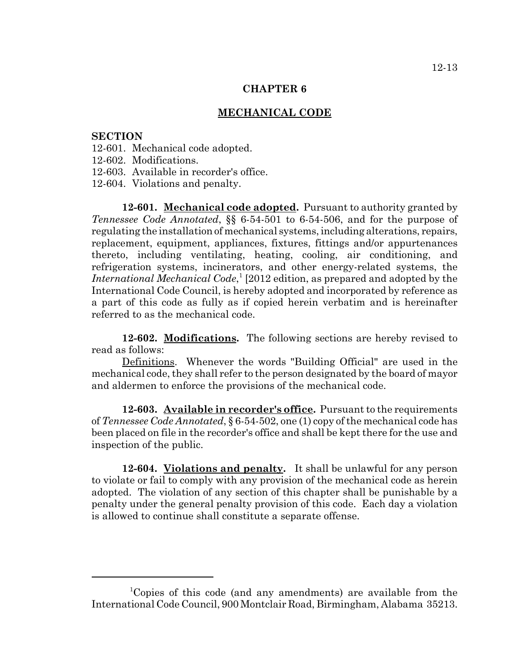#### **MECHANICAL CODE**

#### **SECTION**

- 12-601. Mechanical code adopted.
- 12-602. Modifications.
- 12-603. Available in recorder's office.
- 12-604. Violations and penalty.

**12-601. Mechanical code adopted.** Pursuant to authority granted by *Tennessee Code Annotated*, §§ 6-54-501 to 6-54-506, and for the purpose of regulating the installation of mechanical systems, including alterations, repairs, replacement, equipment, appliances, fixtures, fittings and/or appurtenances thereto, including ventilating, heating, cooling, air conditioning, and refrigeration systems, incinerators, and other energy-related systems, the International Mechanical Code,<sup>1</sup> [2012 edition, as prepared and adopted by the International Code Council, is hereby adopted and incorporated by reference as a part of this code as fully as if copied herein verbatim and is hereinafter referred to as the mechanical code.

**12-602. Modifications.** The following sections are hereby revised to read as follows:

Definitions. Whenever the words "Building Official" are used in the mechanical code, they shall refer to the person designated by the board of mayor and aldermen to enforce the provisions of the mechanical code.

**12-603. Available in recorder's office.** Pursuant to the requirements of *Tennessee Code Annotated*, § 6-54-502, one (1) copy of the mechanical code has been placed on file in the recorder's office and shall be kept there for the use and inspection of the public.

**12-604. Violations and penalty.** It shall be unlawful for any person to violate or fail to comply with any provision of the mechanical code as herein adopted. The violation of any section of this chapter shall be punishable by a penalty under the general penalty provision of this code. Each day a violation is allowed to continue shall constitute a separate offense.

<sup>1</sup> Copies of this code (and any amendments) are available from the International Code Council, 900 Montclair Road, Birmingham, Alabama 35213.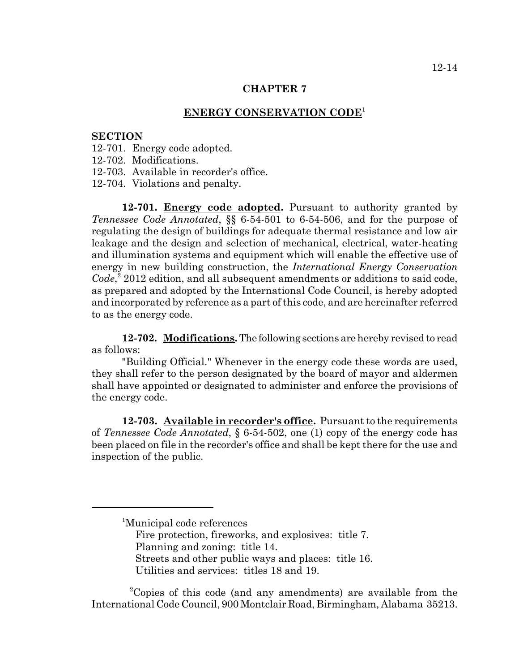## **ENERGY CONSERVATION CODE<sup>1</sup>**

#### **SECTION**

- 12-701. Energy code adopted.
- 12-702. Modifications.
- 12-703. Available in recorder's office.
- 12-704. Violations and penalty.

**12-701. Energy code adopted.** Pursuant to authority granted by *Tennessee Code Annotated*, §§ 6-54-501 to 6-54-506, and for the purpose of regulating the design of buildings for adequate thermal resistance and low air leakage and the design and selection of mechanical, electrical, water-heating and illumination systems and equipment which will enable the effective use of energy in new building construction, the *International Energy Conservation* Code,<sup>2</sup> 2012 edition, and all subsequent amendments or additions to said code, as prepared and adopted by the International Code Council, is hereby adopted and incorporated by reference as a part of this code, and are hereinafter referred to as the energy code.

**12-702. Modifications.** The following sections are hereby revised to read as follows:

"Building Official." Whenever in the energy code these words are used, they shall refer to the person designated by the board of mayor and aldermen shall have appointed or designated to administer and enforce the provisions of the energy code.

**12-703. Available in recorder's office.** Pursuant to the requirements of *Tennessee Code Annotated*, § 6-54-502, one (1) copy of the energy code has been placed on file in the recorder's office and shall be kept there for the use and inspection of the public.

 <sup>2</sup> Copies of this code (and any amendments) are available from the International Code Council, 900 Montclair Road, Birmingham, Alabama 35213.

<sup>&</sup>lt;sup>1</sup>Municipal code references Fire protection, fireworks, and explosives: title 7. Planning and zoning: title 14. Streets and other public ways and places: title 16. Utilities and services: titles 18 and 19.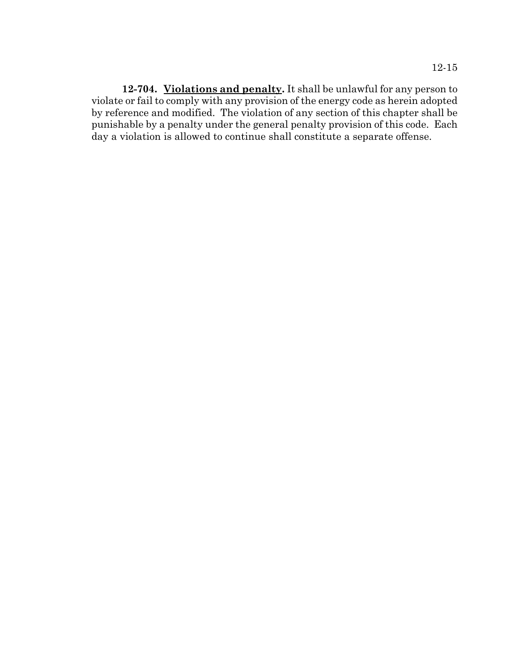**12-704. Violations and penalty.** It shall be unlawful for any person to violate or fail to comply with any provision of the energy code as herein adopted by reference and modified. The violation of any section of this chapter shall be punishable by a penalty under the general penalty provision of this code. Each day a violation is allowed to continue shall constitute a separate offense.